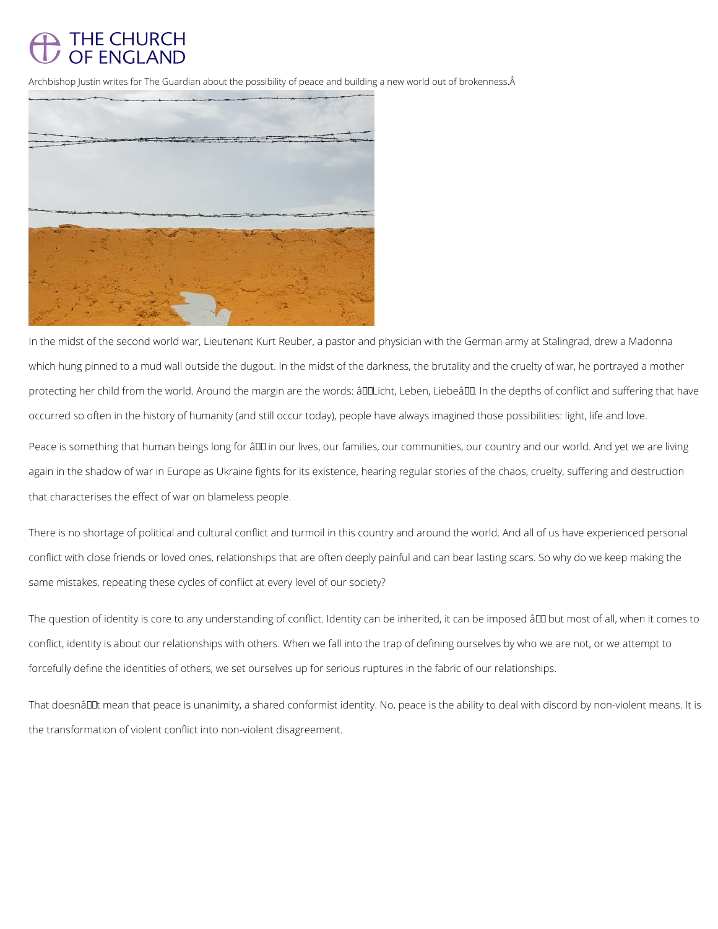## THE CHURCH OF FNGI AND

Archbishop Justin writes for The Guardian about the possibility of peace and building a new world out of brokenness. Â



In the midst of the second world war, Lieutenant Kurt Reuber, a pastor and physician with the German army at Stalingrad, drew a Madonna which hung pinned to a mud wall outside the dugout. In the midst of the darkness, the brutality and the cruelty of war, he portrayed a mother protecting her child from the world. Around the margin are the words: âlllLicht, Leben, Liebeâll. In the depths of conflict and suffering that have occurred so often in the history of humanity (and still occur today), people have always imagined those possibilities: light, life and love.

Peace is something that human beings long for ân in our lives, our families, our communities, our country and our world. And yet we are living again in the shadow of war in Europe as Ukraine fights for its existence, hearing regular stories of the chaos, cruelty, suffering and destruction that characterises the effect of war on blameless people.

The question of identity is core to any understanding of conflict. Identity can be inherited, it can be imposed â D but most of all, when it comes to conflict, identity is about our relationships with others. When we fall into the trap of defining ourselves by who we are not, or we attempt to forcefully define the identities of others, we set ourselves up for serious ruptures in the fabric of our relationships.

That doesnâll tmean that peace is unanimity, a shared conformist identity. No, peace is the ability to deal with discord by non-violent means. It is

There is no shortage of political and cultural conflict and turmoil in this country and around the world. And all of us have experienced personal conflict with close friends or loved ones, relationships that are often deeply painful and can bear lasting scars. So why do we keep making the same mistakes, repeating these cycles of conflict at every level of our society?

the transformation of violent conflict into non-violent disagreement.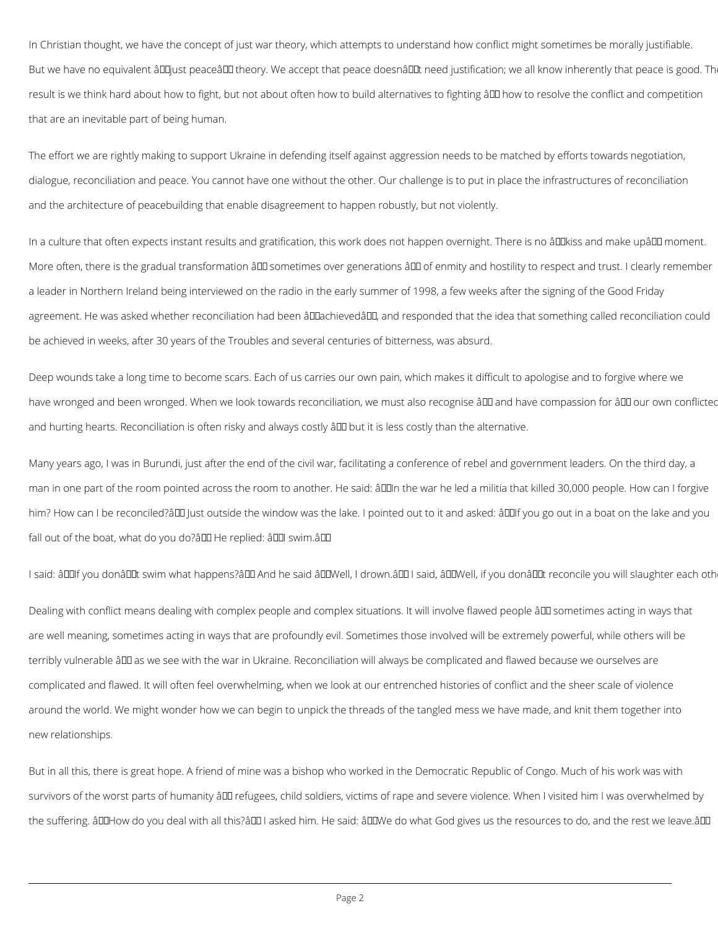In Christian thought, we have the concept of just war theory, which attempts to understand how conflict might sometimes be morally justifiable. But we have no equivalent â Lujust peaceâ Lu theory. We accept that peace doesnâ Lut need justification; we all know inherently that peace is good. Th result is we think hard about how to fight, but not about often how to build alternatives to fighting â DD how to resolve the conflict and competition that are an inevitable part of being human.

The effort we are rightly making to support Ukraine in defending itself against aggression needs to be matched by efforts towards negotiation, dialogue, reconciliation and peace. You cannot have one without the other. Our challenge is to put in place the infrastructures of reconciliation and the architecture of peacebuilding that enable disagreement to happen robustly, but not violently.

In a culture that often expects instant results and gratification, this work does not happen overnight. There is no âll likiss and make upâ ll moment. More often, there is the gradual transformation ând sometimes over generations ând of enmity and hostility to respect and trust. I clearly remember a leader in Northern Ireland being interviewed on the radio in the early summer of 1998, a few weeks after the signing of the Good Friday agreement. He was asked whether reconciliation had been âllachievedâlla, and responded that the idea that something called reconciliation could be achieved in weeks, after 30 years of the Troubles and several centuries of bitterness, was absurd.

Deep wounds take a long time to become scars. Each of us carries our own pain, which makes it difficult to apologise and to forgive where we have wronged and been wronged. When we look towards reconciliation, we must also recognise â ll and have compassion for â ll our own conflicted and hurting hearts. Reconciliation is often risky and always costly â00 but it is less costly than the alternative.

Many years ago, I was in Burundi, just after the end of the civil war, facilitating a conference of rebel and government leaders. On the third day, a man in one part of the room pointed across the room to another. He said:  $\hat{a}$ UUIn the war he led a militia that killed 30,000 people. How can I forgive him? How can I be reconciled?ând Just outside the window was the lake. I pointed out to it and asked: ân alf you go out in a boat on the lake and you fall out of the boat, what do you do?ând He replied: ândl swim.ând

I said: âDDIf you donâDDt swim what happens?âDD And he said âDDWell, I drown.âDD I said, âDDWell, if you donâDDt reconcile you will slaughter each oth

Dealing with conflict means dealing with complex people and complex situations. It will involve flawed people âll sometimes acting in ways that are well meaning, sometimes acting in ways that are profoundly evil. Sometimes those involved will be extremely powerful, while others will be terribly vulnerable âDD as we see with the war in Ukraine. Reconciliation will always be complicated and flawed because we ourselves are complicated and flawed. It will often feel overwhelming, when we look at our entrenched histories of conflict and the sheer scale of violence

around the world. We might wonder how we can begin to unpick the threads of the tangled mess we have made, and knit them together into new relationships.

But in all this, there is great hope. A friend of mine was a bishop who worked in the Democratic Republic of Congo. Much of his work was with

survivors of the worst parts of humanity â D refugees, child soldiers, victims of rape and severe violence. When I visited him I was overwhelmed by

the suffering.  $\hat{a}$  IIIHow do you deal with all this? $\hat{a}$ III asked him. He said:  $\hat{a}$  IIIWe do what God gives us the resources to do, and the rest we leave. $\hat{a}$ III